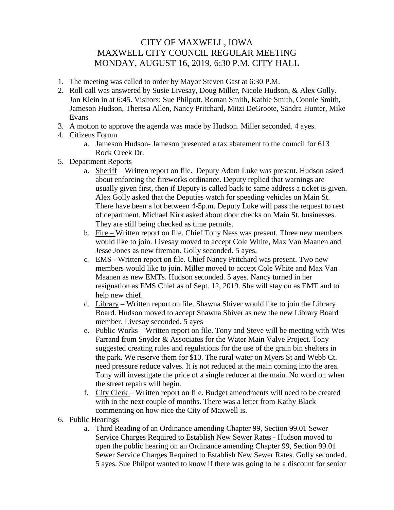## CITY OF MAXWELL, IOWA MAXWELL CITY COUNCIL REGULAR MEETING MONDAY, AUGUST 16, 2019, 6:30 P.M. CITY HALL

- 1. The meeting was called to order by Mayor Steven Gast at 6:30 P.M.
- 2. Roll call was answered by Susie Livesay, Doug Miller, Nicole Hudson, & Alex Golly. Jon Klein in at 6:45. Visitors: Sue Philpott, Roman Smith, Kathie Smith, Connie Smith, Jameson Hudson, Theresa Allen, Nancy Pritchard, Mitzi DeGroote, Sandra Hunter, Mike Evans
- 3. A motion to approve the agenda was made by Hudson. Miller seconded. 4 ayes.
- 4. Citizens Forum
	- a. Jameson Hudson- Jameson presented a tax abatement to the council for 613 Rock Creek Dr.
- 5. Department Reports
	- a. Sheriff Written report on file. Deputy Adam Luke was present. Hudson asked about enforcing the fireworks ordinance. Deputy replied that warnings are usually given first, then if Deputy is called back to same address a ticket is given. Alex Golly asked that the Deputies watch for speeding vehicles on Main St. There have been a lot between 4-5p.m. Deputy Luke will pass the request to rest of department. Michael Kirk asked about door checks on Main St. businesses. They are still being checked as time permits.
	- b. Fire Written report on file. Chief Tony Ness was present. Three new members would like to join. Livesay moved to accept Cole White, Max Van Maanen and Jesse Jones as new fireman. Golly seconded. 5 ayes.
	- c. EMS Written report on file. Chief Nancy Pritchard was present. Two new members would like to join. Miller moved to accept Cole White and Max Van Maanen as new EMTs. Hudson seconded. 5 ayes. Nancy turned in her resignation as EMS Chief as of Sept. 12, 2019. She will stay on as EMT and to help new chief.
	- d. Library Written report on file. Shawna Shiver would like to join the Library Board. Hudson moved to accept Shawna Shiver as new the new Library Board member. Livesay seconded. 5 ayes
	- e. Public Works Written report on file. Tony and Steve will be meeting with Wes Farrand from Snyder & Associates for the Water Main Valve Project. Tony suggested creating rules and regulations for the use of the grain bin shelters in the park. We reserve them for \$10. The rural water on Myers St and Webb Ct. need pressure reduce valves. It is not reduced at the main coming into the area. Tony will investigate the price of a single reducer at the main. No word on when the street repairs will begin.
	- f. City Clerk Written report on file. Budget amendments will need to be created with in the next couple of months. There was a letter from Kathy Black commenting on how nice the City of Maxwell is.
- 6. Public Hearings
	- a. Third Reading of an Ordinance amending Chapter 99, Section 99.01 Sewer Service Charges Required to Establish New Sewer Rates - Hudson moved to open the public hearing on an Ordinance amending Chapter 99, Section 99.01 Sewer Service Charges Required to Establish New Sewer Rates. Golly seconded. 5 ayes. Sue Philpot wanted to know if there was going to be a discount for senior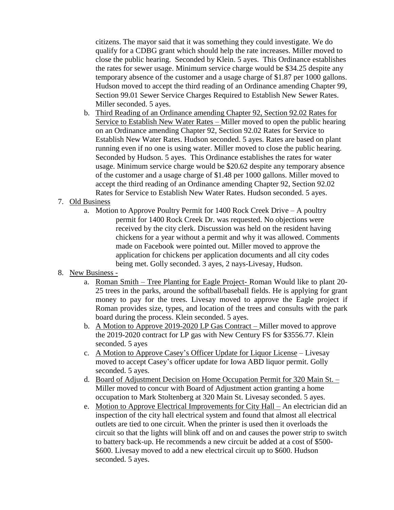citizens. The mayor said that it was something they could investigate. We do qualify for a CDBG grant which should help the rate increases. Miller moved to close the public hearing. Seconded by Klein. 5 ayes. This Ordinance establishes the rates for sewer usage. Minimum service charge would be \$34.25 despite any temporary absence of the customer and a usage charge of \$1.87 per 1000 gallons. Hudson moved to accept the third reading of an Ordinance amending Chapter 99, Section 99.01 Sewer Service Charges Required to Establish New Sewer Rates. Miller seconded. 5 ayes.

- b. Third Reading of an Ordinance amending Chapter 92, Section 92.02 Rates for Service to Establish New Water Rates – Miller moved to open the public hearing on an Ordinance amending Chapter 92, Section 92.02 Rates for Service to Establish New Water Rates. Hudson seconded. 5 ayes. Rates are based on plant running even if no one is using water. Miller moved to close the public hearing. Seconded by Hudson. 5 ayes. This Ordinance establishes the rates for water usage. Minimum service charge would be \$20.62 despite any temporary absence of the customer and a usage charge of \$1.48 per 1000 gallons. Miller moved to accept the third reading of an Ordinance amending Chapter 92, Section 92.02 Rates for Service to Establish New Water Rates. Hudson seconded. 5 ayes.
- 7. Old Business
	- a. Motion to Approve Poultry Permit for 1400 Rock Creek Drive A poultry permit for 1400 Rock Creek Dr. was requested. No objections were received by the city clerk. Discussion was held on the resident having chickens for a year without a permit and why it was allowed. Comments made on Facebook were pointed out. Miller moved to approve the application for chickens per application documents and all city codes being met. Golly seconded. 3 ayes, 2 nays-Livesay, Hudson.
- 8. New Business
	- a. Roman Smith Tree Planting for Eagle Project- Roman Would like to plant 20- 25 trees in the parks, around the softball/baseball fields. He is applying for grant money to pay for the trees. Livesay moved to approve the Eagle project if Roman provides size, types, and location of the trees and consults with the park board during the process. Klein seconded. 5 ayes.
	- b. A Motion to Approve 2019-2020 LP Gas Contract Miller moved to approve the 2019-2020 contract for LP gas with New Century FS for \$3556.77. Klein seconded. 5 ayes
	- c. A Motion to Approve Casey's Officer Update for Liquor License Livesay moved to accept Casey's officer update for Iowa ABD liquor permit. Golly seconded. 5 ayes.
	- d. Board of Adjustment Decision on Home Occupation Permit for 320 Main St. Miller moved to concur with Board of Adjustment action granting a home occupation to Mark Stoltenberg at 320 Main St. Livesay seconded. 5 ayes.
	- e. Motion to Approve Electrical Improvements for City Hall An electrician did an inspection of the city hall electrical system and found that almost all electrical outlets are tied to one circuit. When the printer is used then it overloads the circuit so that the lights will blink off and on and causes the power strip to switch to battery back-up. He recommends a new circuit be added at a cost of \$500- \$600. Livesay moved to add a new electrical circuit up to \$600. Hudson seconded. 5 ayes.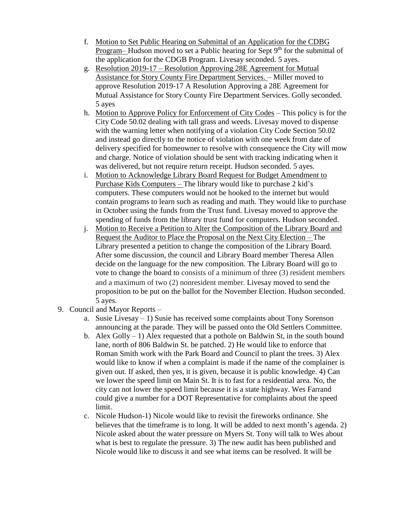- f. Motion to Set Public Hearing on Submittal of an Application for the CDBG Program– Hudson moved to set a Public hearing for Sept  $9<sup>th</sup>$  for the submittal of the application for the CDGB Program. Livesay seconded. 5 ayes.
- g. Resolution 2019-17 Resolution Approving 28E Agreement for Mutual Assistance for Story County Fire Department Services. – Miller moved to approve Resolution 2019-17 A Resolution Approving a 28E Agreement for Mutual Assistance for Story County Fire Department Services. Golly seconded. 5 ayes
- h. Motion to Approve Policy for Enforcement of City Codes This policy is for the City Code 50.02 dealing with tall grass and weeds. Livesay moved to dispense with the warning letter when notifying of a violation City Code Section 50.02 and instead go directly to the notice of violation with one week from date of delivery specified for homeowner to resolve with consequence the City will mow and charge. Notice of violation should be sent with tracking indicating when it was delivered, but not require return receipt. Hudson seconded. 5 ayes.
- i. Motion to Acknowledge Library Board Request for Budget Amendment to Purchase Kids Computers – The library would like to purchase 2 kid's computers. These computers would not be hooked to the internet but would contain programs to learn such as reading and math. They would like to purchase in October using the funds from the Trust fund. Livesay moved to approve the spending of funds from the library trust fund for computers. Hudson seconded.
- j. Motion to Receive a Petition to Alter the Composition of the Library Board and Request the Auditor to Place the Proposal on the Next City Election – The Library presented a petition to change the composition of the Library Board. After some discussion, the council and Library Board member Theresa Allen decide on the language for the new composition. The Library Board will go to vote to change the board to consists of a minimum of three (3) resident members and a maximum of two (2) nonresident member. Livesay moved to send the proposition to be put on the ballot for the November Election. Hudson seconded. 5 ayes.
- 9. Council and Mayor Reports
	- a. Susie Livesay 1) Susie has received some complaints about Tony Sorenson announcing at the parade. They will be passed onto the Old Settlers Committee.
	- b. Alex Golly  $-1$ ) Alex requested that a pothole on Baldwin St, in the south bound lane, north of 806 Baldwin St. be patched. 2) He would like to enforce that Roman Smith work with the Park Board and Council to plant the trees. 3) Alex would like to know if when a complaint is made if the name of the complainer is given out. If asked, then yes, it is given, because it is public knowledge. 4) Can we lower the speed limit on Main St. It is to fast for a residential area. No, the city can not lower the speed limit because it is a state highway. Wes Farrand could give a number for a DOT Representative for complaints about the speed limit.
	- c. Nicole Hudson-1) Nicole would like to revisit the fireworks ordinance. She believes that the timeframe is to long. It will be added to next month's agenda. 2) Nicole asked about the water pressure on Myers St. Tony will talk to Wes about what is best to regulate the pressure. 3) The new audit has been published and Nicole would like to discuss it and see what items can be resolved. It will be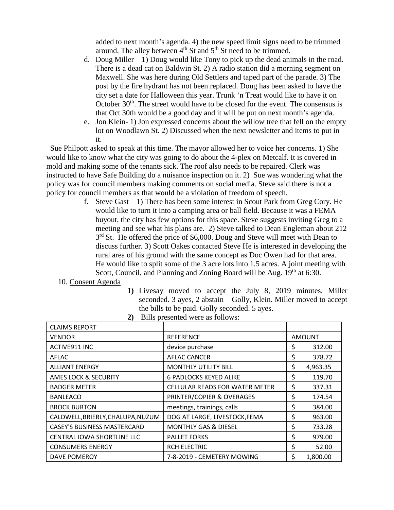added to next month's agenda. 4) the new speed limit signs need to be trimmed around. The alley between  $4<sup>th</sup>$  St and  $5<sup>th</sup>$  St need to be trimmed.

- d. Doug Miller  $-1$ ) Doug would like Tony to pick up the dead animals in the road. There is a dead cat on Baldwin St. 2) A radio station did a morning segment on Maxwell. She was here during Old Settlers and taped part of the parade. 3) The post by the fire hydrant has not been replaced. Doug has been asked to have the city set a date for Halloween this year. Trunk 'n Treat would like to have it on October  $30<sup>th</sup>$ . The street would have to be closed for the event. The consensus is that Oct 30th would be a good day and it will be put on next month's agenda.
- e. Jon Klein- 1) Jon expressed concerns about the willow tree that fell on the empty lot on Woodlawn St. 2) Discussed when the next newsletter and items to put in it.

 Sue Philpott asked to speak at this time. The mayor allowed her to voice her concerns. 1) She would like to know what the city was going to do about the 4-plex on Metcalf. It is covered in mold and making some of the tenants sick. The roof also needs to be repaired. Clerk was instructed to have Safe Building do a nuisance inspection on it. 2) Sue was wondering what the policy was for council members making comments on social media. Steve said there is not a policy for council members as that would be a violation of freedom of speech.

> f. Steve Gast  $-1$ ) There has been some interest in Scout Park from Greg Cory. He would like to turn it into a camping area or ball field. Because it was a FEMA buyout, the city has few options for this space. Steve suggests inviting Greg to a meeting and see what his plans are. 2) Steve talked to Dean Engleman about 212 3<sup>rd</sup> St. He offered the price of \$6,000. Doug and Steve will meet with Dean to discuss further. 3) Scott Oakes contacted Steve He is interested in developing the rural area of his ground with the same concept as Doc Owen had for that area. He would like to split some of the 3 acre lots into 1.5 acres. A joint meeting with Scott, Council, and Planning and Zoning Board will be Aug. 19<sup>th</sup> at 6:30.

## 10. Consent Agenda

**1)** Livesay moved to accept the July 8, 2019 minutes. Miller seconded. 3 ayes, 2 abstain – Golly, Klein. Miller moved to accept the bills to be paid. Golly seconded. 5 ayes.

| 2) Bills presented were as follows: |  |  |
|-------------------------------------|--|--|
|-------------------------------------|--|--|

| <b>CLAIMS REPORT</b>               |                                       |               |          |
|------------------------------------|---------------------------------------|---------------|----------|
| <b>VENDOR</b>                      | <b>REFERENCE</b>                      | <b>AMOUNT</b> |          |
| ACTIVE911 INC                      | device purchase                       | \$            | 312.00   |
| AFLAC                              | <b>AFLAC CANCER</b>                   | \$            | 378.72   |
| <b>ALLIANT ENERGY</b>              | <b>MONTHLY UTILITY BILL</b>           | \$            | 4,963.35 |
| <b>AMES LOCK &amp; SECURITY</b>    | <b>6 PADLOCKS KEYED ALIKE</b>         | \$            | 119.70   |
| <b>BADGER METER</b>                | <b>CELLULAR READS FOR WATER METER</b> | \$            | 337.31   |
| <b>BANLEACO</b>                    | PRINTER/COPIER & OVERAGES             | \$            | 174.54   |
| <b>BROCK BURTON</b>                | meetings, trainings, calls            | \$            | 384.00   |
| CALDWELL, BRIERLY, CHALUPA, NUZUM  | DOG AT LARGE, LIVESTOCK, FEMA         | \$            | 963.00   |
| <b>CASEY'S BUSINESS MASTERCARD</b> | <b>MONTHLY GAS &amp; DIESEL</b>       | \$            | 733.28   |
| CENTRAL IOWA SHORTLINE LLC         | <b>PALLET FORKS</b>                   | \$            | 979.00   |
| <b>CONSUMERS ENERGY</b>            | <b>RCH ELECTRIC</b>                   | \$            | 52.00    |
| <b>DAVE POMEROY</b>                | 7-8-2019 - CEMETERY MOWING            | \$            | 1,800.00 |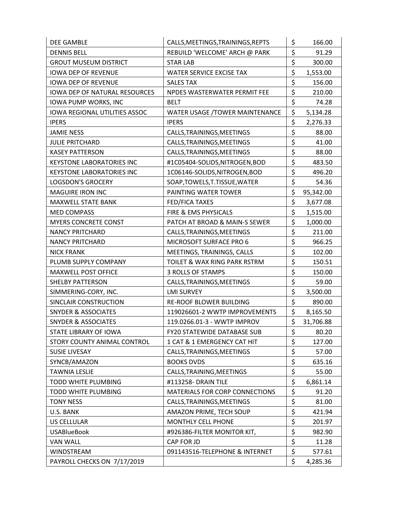| DEE GAMBLE                           | CALLS, MEETINGS, TRAININGS, REPTS  | \$<br>166.00    |
|--------------------------------------|------------------------------------|-----------------|
| <b>DENNIS BELL</b>                   | REBUILD 'WELCOME' ARCH @ PARK      | \$<br>91.29     |
| <b>GROUT MUSEUM DISTRICT</b>         | <b>STAR LAB</b>                    | \$<br>300.00    |
| <b>IOWA DEP OF REVENUE</b>           | WATER SERVICE EXCISE TAX           | \$<br>1,553.00  |
| <b>IOWA DEP OF REVENUE</b>           | <b>SALES TAX</b>                   | \$<br>156.00    |
| <b>IOWA DEP OF NATURAL RESOURCES</b> | NPDES WASTERWATER PERMIT FEE       | \$<br>210.00    |
| <b>IOWA PUMP WORKS, INC</b>          | <b>BELT</b>                        | \$<br>74.28     |
| <b>IOWA REGIONAL UTILITIES ASSOC</b> | WATER USAGE /TOWER MAINTENANCE     | \$<br>5,134.28  |
| <b>IPERS</b>                         | <b>IPERS</b>                       | \$<br>2,276.33  |
| <b>JAMIE NESS</b>                    | CALLS, TRAININGS, MEETINGS         | \$<br>88.00     |
| <b>JULIE PRITCHARD</b>               | CALLS, TRAININGS, MEETINGS         | \$<br>41.00     |
| <b>KASEY PATTERSON</b>               | CALLS, TRAININGS, MEETINGS         | \$<br>88.00     |
| <b>KEYSTONE LABORATORIES INC</b>     | #1C05404-SOLIDS,NITROGEN,BOD       | \$<br>483.50    |
| <b>KEYSTONE LABORATORIES INC</b>     | 1C06146-SOLIDS, NITROGEN, BOD      | \$<br>496.20    |
| <b>LOGSDON'S GROCERY</b>             | SOAP, TOWELS, T. TISSUE, WATER     | \$<br>54.36     |
| <b>MAGUIRE IRON INC</b>              | PAINTING WATER TOWER               | \$<br>95,342.00 |
| <b>MAXWELL STATE BANK</b>            | FED/FICA TAXES                     | \$<br>3,677.08  |
| <b>MED COMPASS</b>                   | FIRE & EMS PHYSICALS               | \$<br>1,515.00  |
| <b>MYERS CONCRETE CONST</b>          | PATCH AT BROAD & MAIN-S SEWER      | \$<br>1,000.00  |
| <b>NANCY PRITCHARD</b>               | CALLS, TRAININGS, MEETINGS         | \$<br>211.00    |
| <b>NANCY PRITCHARD</b>               | MICROSOFT SURFACE PRO 6            | \$<br>966.25    |
| <b>NICK FRANK</b>                    | MEETINGS, TRAININGS, CALLS         | \$<br>102.00    |
| PLUMB SUPPLY COMPANY                 | TOILET & WAX RING PARK RSTRM       | \$<br>150.51    |
| <b>MAXWELL POST OFFICE</b>           | 3 ROLLS OF STAMPS                  | \$<br>150.00    |
| <b>SHELBY PATTERSON</b>              | CALLS, TRAININGS, MEETINGS         | \$<br>59.00     |
| SIMMERING-CORY, INC.                 | <b>LMI SURVEY</b>                  | \$<br>3,500.00  |
| SINCLAIR CONSTRUCTION                | RE-ROOF BLOWER BUILDING            | \$<br>890.00    |
| <b>SNYDER &amp; ASSOCIATES</b>       | 119026601-2 WWTP IMPROVEMENTS      | \$<br>8,165.50  |
| <b>SNYDER &amp; ASSOCIATES</b>       | 119.0266.01-3 - WWTP IMPROV        | \$<br>31,706.88 |
| STATE LIBRARY OF IOWA                | <b>FY20 STATEWIDE DATABASE SUB</b> | \$<br>80.20     |
| STORY COUNTY ANIMAL CONTROL          | 1 CAT & 1 EMERGENCY CAT HIT        | \$<br>127.00    |
| <b>SUSIE LIVESAY</b>                 | CALLS, TRAININGS, MEETINGS         | \$<br>57.00     |
| SYNCB/AMAZON                         | <b>BOOKS DVDS</b>                  | \$<br>635.16    |
| <b>TAWNIA LESLIE</b>                 | CALLS, TRAINING, MEETINGS          | \$<br>55.00     |
| TODD WHITE PLUMBING                  | #113258- DRAIN TILE                | \$<br>6,861.14  |
| TODD WHITE PLUMBING                  | MATERIALS FOR CORP CONNECTIONS     | \$<br>91.20     |
| <b>TONY NESS</b>                     | CALLS, TRAININGS, MEETINGS         | \$<br>81.00     |
| U.S. BANK                            | AMAZON PRIME, TECH SOUP            | \$<br>421.94    |
| US CELLULAR                          | MONTHLY CELL PHONE                 | \$<br>201.97    |
| <b>USABlueBook</b>                   | #926386-FILTER MONITOR KIT,        | \$<br>982.90    |
| <b>VAN WALL</b>                      | CAP FOR JD                         | \$<br>11.28     |
| <b>WINDSTREAM</b>                    | 091143516-TELEPHONE & INTERNET     | \$<br>577.61    |
| PAYROLL CHECKS ON 7/17/2019          |                                    | \$<br>4,285.36  |